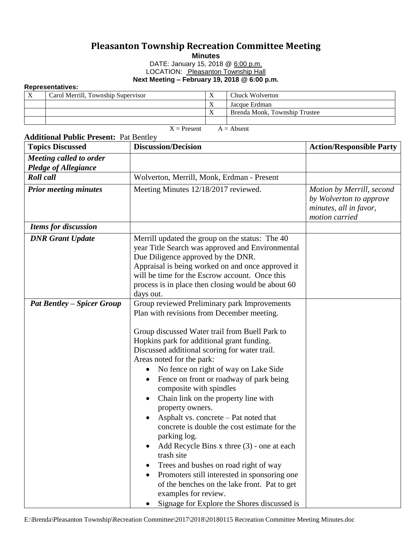## **Pleasanton Township Recreation Committee Meeting**

**Minutes**

DATE: January 15, 2018 @ 6:00 p.m.

LOCATION: Pleasanton Township Hall

**Next Meeting – February 19, 2018 @ 6:00 p.m.**

## **Representatives:**

| Carol Merrill, Township Supervisor | Chuck Wolverton               |
|------------------------------------|-------------------------------|
|                                    | Jacque Erdman                 |
|                                    | Brenda Monk, Township Trustee |
|                                    |                               |

 $X =$  Present  $A =$  Absent

| <b>Topics Discussed</b>                                | <b>Discussion/Decision</b>                                                                                                                                                                                                                                                                                                                                                                                                                                                                                                                                                                                                                                                                                                                                                                                                                                             | <b>Action/Responsible Party</b>                                                                  |
|--------------------------------------------------------|------------------------------------------------------------------------------------------------------------------------------------------------------------------------------------------------------------------------------------------------------------------------------------------------------------------------------------------------------------------------------------------------------------------------------------------------------------------------------------------------------------------------------------------------------------------------------------------------------------------------------------------------------------------------------------------------------------------------------------------------------------------------------------------------------------------------------------------------------------------------|--------------------------------------------------------------------------------------------------|
| Meeting called to order<br><b>Pledge of Allegiance</b> |                                                                                                                                                                                                                                                                                                                                                                                                                                                                                                                                                                                                                                                                                                                                                                                                                                                                        |                                                                                                  |
| <b>Roll</b> call                                       | Wolverton, Merrill, Monk, Erdman - Present                                                                                                                                                                                                                                                                                                                                                                                                                                                                                                                                                                                                                                                                                                                                                                                                                             |                                                                                                  |
| <b>Prior meeting minutes</b>                           | Meeting Minutes 12/18/2017 reviewed.                                                                                                                                                                                                                                                                                                                                                                                                                                                                                                                                                                                                                                                                                                                                                                                                                                   | Motion by Merrill, second<br>by Wolverton to approve<br>minutes, all in favor,<br>motion carried |
| <b>Items for discussion</b>                            |                                                                                                                                                                                                                                                                                                                                                                                                                                                                                                                                                                                                                                                                                                                                                                                                                                                                        |                                                                                                  |
| <b>DNR</b> Grant Update                                | Merrill updated the group on the status: The 40<br>year Title Search was approved and Environmental<br>Due Diligence approved by the DNR.<br>Appraisal is being worked on and once approved it<br>will be time for the Escrow account. Once this<br>process is in place then closing would be about 60<br>days out.                                                                                                                                                                                                                                                                                                                                                                                                                                                                                                                                                    |                                                                                                  |
| <b>Pat Bentley – Spicer Group</b>                      | Group reviewed Preliminary park Improvements<br>Plan with revisions from December meeting.<br>Group discussed Water trail from Buell Park to<br>Hopkins park for additional grant funding.<br>Discussed additional scoring for water trail.<br>Areas noted for the park:<br>No fence on right of way on Lake Side<br>$\bullet$<br>Fence on front or roadway of park being<br>composite with spindles<br>Chain link on the property line with<br>property owners.<br>Asphalt vs. concrete – Pat noted that<br>$\bullet$<br>concrete is double the cost estimate for the<br>parking log.<br>Add Recycle Bins $x$ three $(3)$ - one at each<br>trash site<br>Trees and bushes on road right of way<br>Promoters still interested in sponsoring one<br>of the benches on the lake front. Pat to get<br>examples for review.<br>Signage for Explore the Shores discussed is |                                                                                                  |

## **Additional Public Present:** Pat Bentley